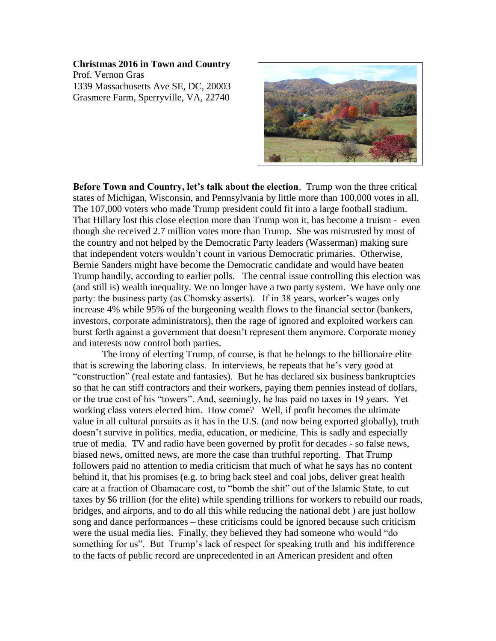## **Christmas 2016 in Town and Country**

Prof. Vernon Gras 1339 Massachusetts Ave SE, DC, 20003 Grasmere Farm, Sperryville, VA, 22740



**Before Town and Country, let's talk about the election**. Trump won the three critical states of Michigan, Wisconsin, and Pennsylvania by little more than 100,000 votes in all. The 107,000 voters who made Trump president could fit into a large football stadium. That Hillary lost this close election more than Trump won it, has become a truism - even though she received 2.7 million votes more than Trump. She was mistrusted by most of the country and not helped by the Democratic Party leaders (Wasserman) making sure that independent voters wouldn't count in various Democratic primaries. Otherwise, Bernie Sanders might have become the Democratic candidate and would have beaten Trump handily, according to earlier polls. The central issue controlling this election was (and still is) wealth inequality. We no longer have a two party system. We have only one party: the business party (as Chomsky asserts). If in 38 years, worker's wages only increase 4% while 95% of the burgeoning wealth flows to the financial sector (bankers, investors, corporate administrators), then the rage of ignored and exploited workers can burst forth against a government that doesn't represent them anymore. Corporate money and interests now control both parties.

The irony of electing Trump, of course, is that he belongs to the billionaire elite that is screwing the laboring class. In interviews, he repeats that he's very good at "construction" (real estate and fantasies). But he has declared six business bankruptcies so that he can stiff contractors and their workers, paying them pennies instead of dollars, or the true cost of his "towers". And, seemingly, he has paid no taxes in 19 years. Yet working class voters elected him. How come? Well, if profit becomes the ultimate value in all cultural pursuits as it has in the U.S. (and now being exported globally), truth doesn't survive in politics, media, education, or medicine. This is sadly and especially true of media. TV and radio have been governed by profit for decades - so false news, biased news, omitted news, are more the case than truthful reporting. That Trump followers paid no attention to media criticism that much of what he says has no content behind it, that his promises (e.g. to bring back steel and coal jobs, deliver great health care at a fraction of Obamacare cost, to "bomb the shit" out of the Islamic State, to cut taxes by \$6 trillion (for the elite) while spending trillions for workers to rebuild our roads, bridges, and airports, and to do all this while reducing the national debt ) are just hollow song and dance performances – these criticisms could be ignored because such criticism were the usual media lies. Finally, they believed they had someone who would "do something for us". But Trump's lack of respect for speaking truth and his indifference to the facts of public record are unprecedented in an American president and often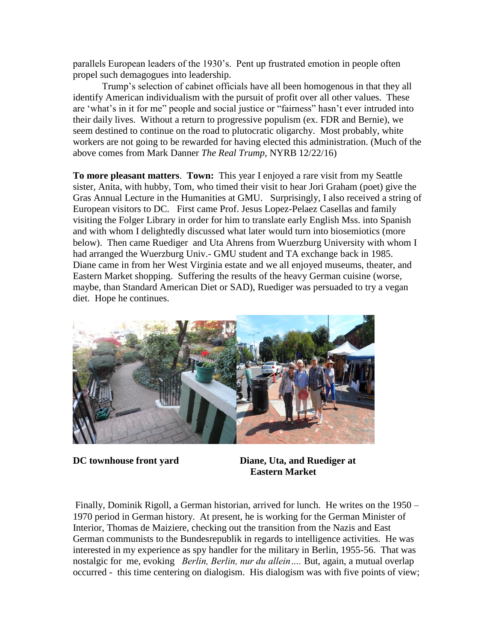parallels European leaders of the 1930's. Pent up frustrated emotion in people often propel such demagogues into leadership.

Trump's selection of cabinet officials have all been homogenous in that they all identify American individualism with the pursuit of profit over all other values. These are 'what's in it for me" people and social justice or "fairness" hasn't ever intruded into their daily lives. Without a return to progressive populism (ex. FDR and Bernie), we seem destined to continue on the road to plutocratic oligarchy. Most probably, white workers are not going to be rewarded for having elected this administration. (Much of the above comes from Mark Danner *The Real Trump,* NYRB 12/22/16)

**To more pleasant matters**. **Town:** This year I enjoyed a rare visit from my Seattle sister, Anita, with hubby, Tom, who timed their visit to hear Jori Graham (poet) give the Gras Annual Lecture in the Humanities at GMU. Surprisingly, I also received a string of European visitors to DC. First came Prof. Jesus Lopez-Pelaez Casellas and family visiting the Folger Library in order for him to translate early English Mss. into Spanish and with whom I delightedly discussed what later would turn into biosemiotics (more below). Then came Ruediger and Uta Ahrens from Wuerzburg University with whom I had arranged the Wuerzburg Univ.- GMU student and TA exchange back in 1985. Diane came in from her West Virginia estate and we all enjoyed museums, theater, and Eastern Market shopping. Suffering the results of the heavy German cuisine (worse, maybe, than Standard American Diet or SAD), Ruediger was persuaded to try a vegan diet. Hope he continues.



**DC townhouse front yard Diane, Uta, and Ruediger at Eastern Market** 

Finally, Dominik Rigoll, a German historian, arrived for lunch. He writes on the 1950 – 1970 period in German history. At present, he is working for the German Minister of Interior, Thomas de Maiziere, checking out the transition from the Nazis and East German communists to the Bundesrepublik in regards to intelligence activities. He was interested in my experience as spy handler for the military in Berlin, 1955-56. That was nostalgic for me, evoking *Berlin, Berlin, nur du allein….* But, again, a mutual overlap occurred - this time centering on dialogism. His dialogism was with five points of view;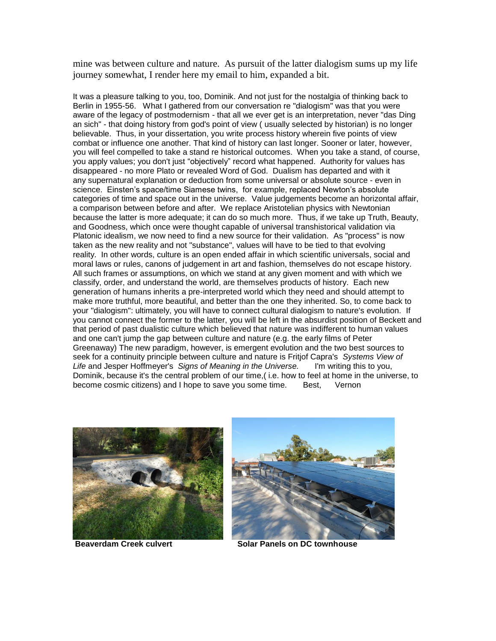mine was between culture and nature. As pursuit of the latter dialogism sums up my life journey somewhat, I render here my email to him, expanded a bit.

It was a pleasure talking to you, too, Dominik. And not just for the nostalgia of thinking back to Berlin in 1955-56. What I gathered from our conversation re "dialogism" was that you were aware of the legacy of postmodernism - that all we ever get is an interpretation, never "das Ding an sich" - that doing history from god's point of view ( usually selected by historian) is no longer believable. Thus, in your dissertation, you write process history wherein five points of view combat or influence one another. That kind of history can last longer. Sooner or later, however, you will feel compelled to take a stand re historical outcomes. When you take a stand, of course, you apply values; you don't just "objectively" record what happened. Authority for values has disappeared - no more Plato or revealed Word of God. Dualism has departed and with it any supernatural explanation or deduction from some universal or absolute source - even in science. Einsten's space/time Siamese twins, for example, replaced Newton's absolute categories of time and space out in the universe. Value judgements become an horizontal affair, a comparison between before and after. We replace Aristotelian physics with Newtonian because the latter is more adequate; it can do so much more. Thus, if we take up Truth, Beauty, and Goodness, which once were thought capable of universal transhistorical validation via Platonic idealism, we now need to find a new source for their validation. As "process" is now taken as the new reality and not "substance", values will have to be tied to that evolving reality. In other words, culture is an open ended affair in which scientific universals, social and moral laws or rules, canons of judgement in art and fashion, themselves do not escape history. All such frames or assumptions, on which we stand at any given moment and with which we classify, order, and understand the world, are themselves products of history. Each new generation of humans inherits a pre-interpreted world which they need and should attempt to make more truthful, more beautiful, and better than the one they inherited. So, to come back to your "dialogism": ultimately, you will have to connect cultural dialogism to nature's evolution. If you cannot connect the former to the latter, you will be left in the absurdist position of Beckett and that period of past dualistic culture which believed that nature was indifferent to human values and one can't jump the gap between culture and nature (e.g. the early films of Peter Greenaway) The new paradigm, however, is emergent evolution and the two best sources to seek for a continuity principle between culture and nature is Fritjof Capra's *Systems View of Life* and Jesper Hoffmeyer's *Signs of Meaning in the Universe.* I'm writing this to you, Dominik, because it's the central problem of our time,( i.e. how to feel at home in the universe, to become cosmic citizens) and I hope to save you some time. Best, Vernon





**Beaverdam Creek culvert Solar Panels on DC townhouse**